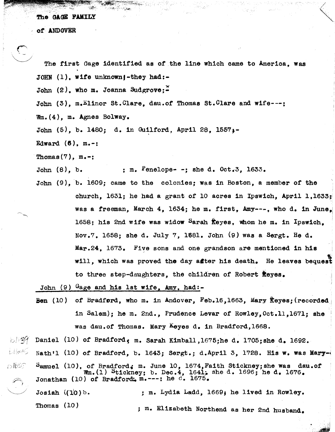*ot* ANDOVER

 $\mathcal{P}(\mathcal{P})$  .

 $\overline{c}$ The first Gage identified as ot.the line which came to America, was JOHN  $(1)$ . wife unknown $i$ -they had:-

John (2). who m. Joanna Sudgrove:-

John (3), m.Elinor St.Clare, dau.of Thomas St.Clare and wife---;

Wm.(4), m. Agnes Bo1way.

John  $(5)$ , b. 1480; d. in Guilford, April 28, 1557.

Edward  $(6)$ , m.-:

Thomas $(7)$ , m.-;

John  $(8)$ , b.  $\ldots$  ; m. Penelope- -; she d. Oct.3, 1633.

John (9),b. 1609; came to the colonies; WaS in Boston, a member of the church, 1631; he had a grant of 10 acres in Ipswich, April 1,1633; was a freeman, March 4,  $1634$ ; he m. first, Amy---, who d. in June. 1658; his 2nd wife was widow Sarah Reyes, whom he m. in Ipswich. Nov.7, 1658; she d. July 7, 1681. John (9) was a Sergt. He d. Mar.24, 1673. Five sons and one grandson are mentioned in his will, which was proved the day after his death. He leaves bequest to three step-daughters, the children of Robert fleyes.

John  $(9)$  Gage and his 1st wife, Amy, had:-

Ben (10) of Bradford, who m. in Andover, Feb.16,1663, Mary Reyes; (recorded) in Salem); he m. 2nd., Prudence Levar of Rowley, Oct.11, 1671; she was dau.of Thomas. Mary Leyes d. in Bradford, 1668.

 $\geq$  Daniel (10) of Bradford, m. Sarah Kimball,1675;he d. 1705;she d. 1692.

目(がら Nath'l (10) of Bradford, b. 1643; Sergt.; d.April 3, 1728. His w. was Mary- $\frac{1}{2}$ 

D1639  $P$ amuel (10), of Bradford. m. June 10, 1674, Faith Stickney; she was dau.of Wm.(1) Stickney; b. Dec.4, 1641; she d. 1696; he d. 1676. Jonathan (10) of Bradford:  $m_{\bullet}$ ---: he d. 1675.  $\widehat{\mathcal{F}}_k$ 

Josiah  $(10)$  b. Thomas (10) ; m. Lydia Ladd, 1669; he lived in Rowley. ; m. Elizabeth Northend as her 2nd husband.

> $t = \frac{1}{2}$ *.A'*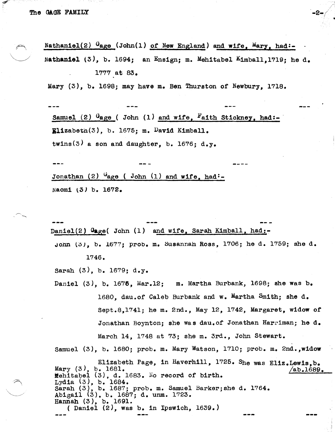Nathaniel(2)  $G_{\text{aqe}}$  (John(1) of New England) and wife, Mary, had:-Nathaniel (3), b. 1694; an Ensign; m. Mehitabel Kimball, 1719; he d. 1777 at 83.

·-2-

•

Mary  $(3)$ , b. 1698; may have m. Ben Thurston of Newbury, 1718.

Samuel (2)  $G_{\text{age}}$  ( John (1) and wife, Faith Stickney, had:- $\texttt{Ellzabetn}(3)$ , b. 1675; m. David Kimball. twins(3) a son and daughter, b. 1676; d.y.

Jonathan  $(2)$  <sup>U</sup>age ( John  $(1)$  and wife, had:-Naomi (3) b. 1672.

Daniel(2)  $q_{\text{age}}($  John (1) and wife, Sarah Kimball, had:-John (3), b. 1677; prob. m. Susannah Ross, 1706; he d. 1759; she d. 1746.

Sarah (3), b. 1679; d.y.

Daniel (3), b. 1676, Mar.12; m. Martha Burbank, 1698; she was b. 1680, dau.of Caleb Burbank and w. Martha Smith; she d. Sept.8,1741; he m. 2nd., May 12, 1742, Margaret, widow of Jonathan Boynton; she was dau.of Jonathan Harriman; he d. March 14, 1748 at 73; she m. 3rd., John Stewart.

Samuel (3), b. 1680; prob. m. Mary Watson, 1710; prob. m. 2nd., widow

Elizabeth Page, in Haverhill, 1725. She was E1iz.Lewis,b. Mary  $(3)$ , b. 1681.  $/ab.1689$ . Mehitabel (3), d. 1683. No record of birth. Lydia (3), b. 1684. Sarah  $(3)$ , b. 1687; prob. m. Samuel Barker; she d. 1764. Sarah (3), b. 1687; prob. m. Samuel<br>Abigail (3), b. 1687; d. unm. 1723. Hannah (3), b. 1691. ( Daniel (2), was b. in Ipswich, 1639.)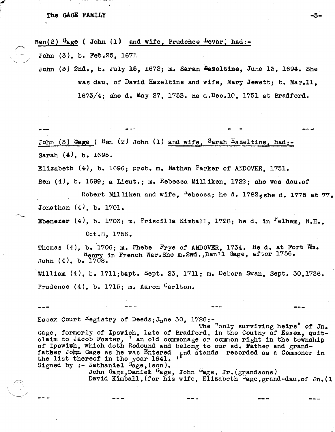Ben(2)  $G_{\text{age}}$  ( John (1) and wife, Prudence Levar, had:-

John (3), b. Feb.25, 1671

John (3) 2nd., b. July 15, 1672; m. Saran Hazeltine, June 13, 1694. She was dau. of David Hazeltine and Wife, Mary Jewett; b. Mar.11. 1673/4; She d. May 27, 1753. He d.Dee.10, 1751 at Bradford.

-3-

**--...** 

John (3) Hage ( Ben  $(2)$  John  $(1)$  and wife, Sarah Hazeltine, had:-Sarah (4), b. 1695.

Elizabeth  $(4)$ , b. 1696; prob. m. Nathan Parker of ANDOVER. 1731.

Ben  $(4)$ , b. 1699; a Lieut.; m. Rebecca Milliken, 1722; she was dau.of

Robert Milliken and wife,  $^{R}$ ebecca; he d. 1782 $_{e}$ she d. 1775 at 77. Jonathan (4), b. 1701.

Ebenezer  $(4)$ , b. 1703; m. Priscilla Kimball, 1728; he d. in <sup>P</sup>elham, N.H., Oct. 8, 1756.

Thomas  $(4)$ , b. 1706; m. Phebe Frye of ANDOVER. 1734. He d. at Fort  $\mathfrak{m}_0$ . rlenry in French War.She m.2wd.,Dan'l Gage, after 1756. John (4). b. 1708. William (4), b. 1711;bapt. Sept. 23, 1711; m. Debora Swan, Sept. 30,1736. Prudence  $(4)$ , b. 1715; m. Aaron Carlton.

Essex Court  $^{R}$ egistry of Deeds; $J_{\text{u}}$ ne 30, 1726:-

 $\sqrt{2}$  .

The "only surviving heirs" of Jn. Gage, formerly of Ipswich, late of Bradford, in the Coutny of Essex, quitclaim to Jacob Foster, ' an old commonage or common right in the township of Ipswith, which doth Redound and belong to our sd. Father and grandfather John Gage as he was Entered and stands recorded as a Commoner in the list thereof in the year 1641. Signed by :- Nathaniel  $G_{\text{age}}$ , (son).

---

John Gage, Daniek Gage, John Gage, Jr. (grandsons) David Kimball, (for his wife, Elizabeth Gage, grand-dau.of Jn. (1)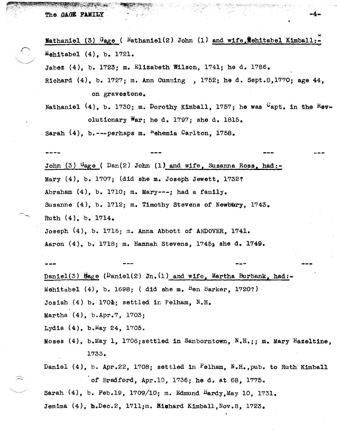ret : to the second state of the second state of the second state of the second state of the second state of t

Nathaniel (3)  $G_{\text{age}}$  (  $National(2)$  John (1) and wife, the itabel Kimball: Mehitabel (4), b. 1721.

~.

Jabez (4), b. 1723; m. Elizabeth Wilson, 1741; he d. 1786.

Richard (4), b. 1727; m. Ann CUmm1ng , 1752; he d. Sept.8,1770; age 44, on gravestone.

Nathaniel  $(4)$ , b. 1730; m. Dorothy Kimball, 1757; he was  $G_{\text{apt.}}$  in the Revolutionary War; he d. 1797; she d. 1815.

Sarah  $(4)$ , b. --- perhaps m. <sup>N</sup>ehemia Carlton, 1758.

John (3)  $G_{\text{age}}$  (  $Dan(2)$  John (1) and wife, Susanna Ross, had:-Mary (4), b. 1707; (did she m. Joseph Jewett, 17321 Abraham (4), b. 1710; m. Mary---; had a family. Susanne  $(4)$ , b. 1712; m. Timothy Stevens of Newbury, 1743. Ruth (4), b. 1714. Joseph  $(4)$ , b. 1715; m. Anna Abbott of ANDOVER. 1741. Aaron (4), b. 1718; m. Hannah Stevens, 1745; she d. 1749.

Daniel(3)  $\hat{\theta}$ age (Daniel(2) Jn. (1) and wife. Martha Burbank, had:-Mehitabel  $(4)$ , b. 1698; ( did she m. Ben Barker, 1720?) Josiah  $(4)$  b. 170 $\Delta$ : settled in Pelham. N.H. Martha (4), b.Apr.7, 1703;

Lydia  $(4)$ , b.May 24, 1705.

Moses  $(4)$ , b.May 1, 1706; settled in Sanborntown, N.H.;; m. Mary Hazeltine, 1733.

Daniel (4), b. Apr.22, 1708; settled in Pelham, N.H.,pub. to Ruth Kimball of Bradford, Apr.l0, 1736; he d. at 68, 1775.

Sarah  $(4)$ , b. Feb.19, 1709/10; m. Edmund Hardy, May 10, 1731.

Jemima  $(4)$ , b.Dec.2, 1711;m. Righard Kimball, Nov.8, 1723.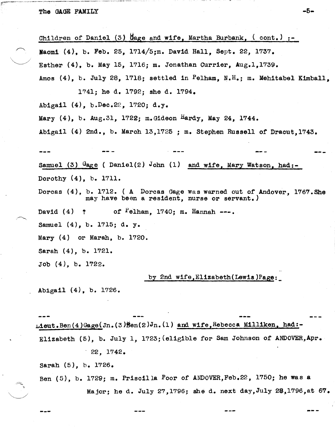$\searrow$  :  $\sim$ Children of Daniel (3) Hage and wife, Martha Burbank,  $($  cont. $)$ :-Naomi  $(4)$ , b. Feb. 25, 1714/5;m. David Hall, Sept. 22, 1737. Esther (4), b. May 15, 1716; m. Jonathan CUrrier, Aug.l,1739. Amos (4), b. July 28, 1718; settled in Pelham, N.H.; m. Mehitabel Kimball, 1741; he d. 1792; she d. 1794. Abigail (4), b.Dec.22, 1720; d.y. Mary (4), b. Aug.31, 1722; m.Gideon Hardy, May 24, 1744. Abigail  $(4)$  2nd., b. March 13,1725 ; m. Stephen Russell of Dracut.1743. Samuel (3)  $G_{\text{age}}$  ( Daniel(2) John (1) and wife, Mary Watson, had:-Dorothy (4), b. 1711. --- Dorcas (4), b. 1712. (A Dorcas Gage Was warned out of Andover, l767.She may have been a resident, nurse or servant.) David  $(4)$  ? of  $P$ elham, 1740; m. Hannah ---. Samuel (4), b. 1715; d. y. Mary (4) or Marah, b. 1720. Sarah (4), b. 1721. Job (4), b. 1722. by 2nd wife, Elizabeth (Lewis) Page: . Abigail (4), b. 1726.

 $_{\texttt{L1cut}}$ .Ben(4)Gage(Jn.(3) $\texttt{Ben}(2)$ Jn.(1) and wife,Rebecca Milliken, had:-Elizabeth (5), b. July 1, 1723; {e1igib1e for Sam Johnson of ANDOVER,Apr • . 22, 1742.

sarah (5), b. 1726.

 $\approx$ '.

Ben (5), b. 1729; m. Priscilla Poor of ANDOVER,Feb.22, 1750; he was a Major; he d. July 27,1796; She d. next day,July 2S,1796,at 67.

-5-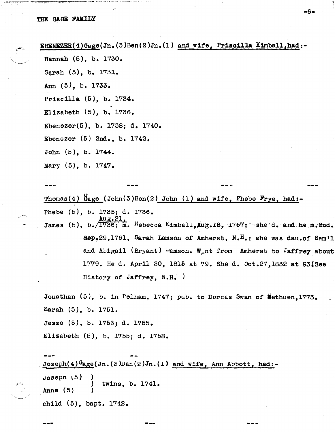#### THE GAGE FAMILY

EBENEZER(4)Gage(Jn.(3)Ben(2)Jn.(1) and wite, Priscilla Kimba11,had:-

-6-

Hannah (5), b. 1730.

Sarah (5), b. 1731.

Ann (5), b. 1733.

Priscilla (5), b. 1734.

Elizabeth  $(5)$ , b. 1736.

Ebenezer(5), b. 1738; d. 1740.

Ebenezer (5) 2nd., b. 1742.

John  $(5)$ , b.  $1744$ .

Mary (5), b. 1747.

Thomas(4)  $\text{Gage }$  (John(3)Ben(2) John (1) and wife, Phebe Frye, had:-Phebe (5), b. 1735; d. 1736. James (5),  $b.71736$ ; m.  $R$ ebecca Kimball, $A$ ug.18, 1757; she d. and he m.2nd. Sep.29,1761, Sarah Lamson of Amherst,  $N_e$ <sup>H</sup>.; she was dau.of Sam'l and Abigail (Bryant)  $\mu$ amson. W<sub>a</sub>nt from Amherst to Jaffrey about 1779. He d. April 30, 1815 at 79. She d. Oct.27,1832 at 93(8ee History of Jaffrey, N.H. )

Jonathan  $(5)$ , b. in Pelham, 1747; pub. to Dorcas Swan of Methuen, 1773. Sarah (5), b. 1751.

Jesse (5), b. 1753; d. 1755.

Elizabeth (5), b. 1755; d. 1758 •

Joseph(4) $G$ age(Jn.(3)Dan(2)Jn.(1) and wife, Ann Abbott, had:-Joseph (5) Anna (5) ) ) twins, b. 1741. ) ch11d (5), bapt. 1742.

--- ---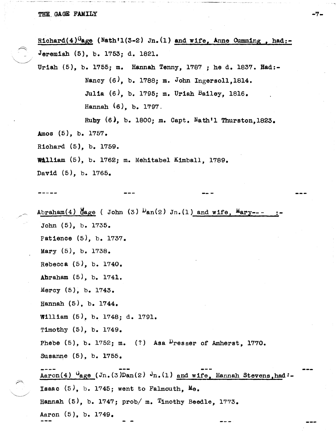#### THE GAGE FAMILY

Richard( $4)^{G}$ age (Nath'1(3-2) Jn.(1) and wife, Anne Cumming, had:-Jeremiah (5), b. 1753; d. 1821. Uriah (5), b. 1755; m. Hannah Tenny, 1787; he d. 1837. Had:-Nancy (6), b. 1788; m. John Ingerso11,1814. Julia (6), b. 1795; m. Uriah Bailey, 1816. Hannah (6), b. 1797. Ruby (6), b. 1800; m. Capt. Nath'l Thurston,1823. Amos (5), b. 1757. Richard (5), b. 1759. William (5), b. 1762; m. Mehitabel Kimball, 1789. David (5), b. 1765.

-7-

Abraham(4)  $\frac{M}{4}$ age ( John (3)  $\frac{D}{2}$ an(2) Jn.(1) and wife,  $\frac{M}{4}$ ary---John (5), b. 1735. Patience (5), b. 1737. Mary (5), b. 1738. Rebecca (5), b. 1740. Abraham (5), b. 1741. Mercy (5), b. 1743. Hannah (5), b. 1744. William (5), b. 1748; d. 1791. Timothy (5), b. 1749. Phebe  $(5)$ , b. 1752; m.  $(?)$  Asa <sup>D</sup>resser of Amherst, 1770. Susanne (5), b. 1755. **----** :-  $Aaron(4)$   $\frac{G_{\text{age}}}{\sqrt{G}}$  (Jn.(3)Dan(2)  $J_{\text{n.}}(1)$  and wife, Hannah Stevens,had:-Isaac  $(5)$ , b. 1745; went to Falmouth, Me. Hannah  $(5)$ , b. 1747; prob/ m. Timothy Beedle, 1773. Aaron (5), b. 1749.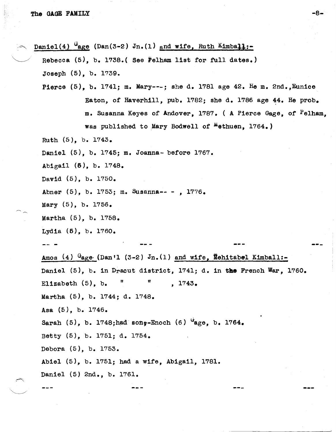Daniel(4)  $G$ age (Dan(3-2) Jn.(1) and wife, Ruth Kimball:- $Rebecca$  (5), b. 1738.( See Pelham list for full dates.) Joseph (5), b. 1739. Pierce  $(5)$ , b. 1741; m. Mary---; she d. 1781 age 42. He m. 2nd., Eunice Eaton, of Haverhill, pub. 1782; she d. 1786 age 44. He prob. m. Susanna Keyes of Andover, 1'78'7. ( A Pierce Gage, of Pelham, was published to Mary Bodwell of  $^{\text{m}}$ ethuen, 1764.) Ruth (5), b. 1743. Daniel (5), b. 1745; m. Joanna- before 1767. Abigail (6), b. 1748. David (5), b. 1750. Abner (5), b. 1753; m. Susanna-- - , 1776. Mary (5), b. 1756. Martha (5), b. 1758. Lydia (5), b. 1760. Amos (4)  $G_{\text{age}}$  (Dan'l (3-2) Jn. (1) and wife, Mehitabel Kimball:-Daniel (5), b. in Dracut district, 1741; d. in the French War, 1760. Elizabeth  $(5)$ , b.  $\blacksquare$   $\blacksquare$ , 1743. Martha (5), b. 1744; d. 1748. Asa (5), b. 1746. Sarah (5), b. 1748;had son,-Enoch (6)  $u_{\text{age}}$ , b. 1764. Betty (5), b. 1751; d. 1754. Debora (5), b. 1753. Abie1 (5), b. 1751; had a Wife, Abigail, 1781. Daniel (5) 2nd., b. 1761. --- ---

-8-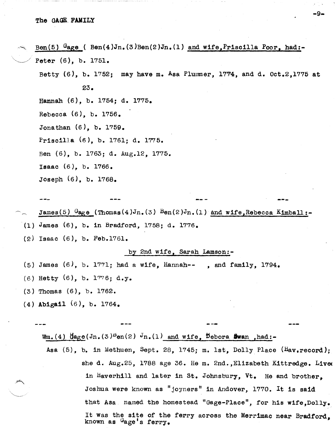Ben(5)  $G_{\texttt{age}}$  ( Ben(4)Jn.(3)Ben(2)Jn.(1) and wife, Priscilla Poor, had:- $Peter (6), b. 1751.$ Betty  $(6)$ , b. 1752; may have m. Asa Plummer, 1774, and d. Oct.2,1775 at 23. Hannah (6), b. 1754; d. 1775. Rebecca (6), b. 1756. Jonathan (6), b. 1759. Priscilla (6), b. 1761; d. 1775. Ben (6), b. 1763; d. Aug.12, 1775. Isaac (6), b. 1766. Joseph (6), b. 1768.

-9-

---

- James(5)  $G_{\text{agg}}$ e (Thomas(4)Jn.(3)  $B$ en(2)Jn.(1) and wife,Rebecca Kimball:-(1) James (6), b. in Bradford, 1758; d. 1776.
- 
- (2) Isaac (6), b. Feb.1761.

#### by 2nd wife, Sarah Lamson:-

- (5) James  $(6)$ , b. 1771; had a wife, Hannah-- , and family, 1794.
- (6) Hetty (6), b. 1776; d.y.
- (3 ) Thomas (6), b. 1762.
- (4) Abigail (6 ), b. 1764.

 $Wm_{\bullet}(4)$   $\text{diag}(Jn_{\bullet}(3)^{\text{D}}\text{en}(2)$   $Jn_{\bullet}(1)$  and wife, Debora Ewan ,had:-

Asa  $(5)$ , b. in Methuen, Sept. 28, 1745; m. 1st, Dolly Place  $(\text{Hav}_{\bullet}$  record); she d. Aug.25, 1788 age 36. He m. 2nd., Elizabeth Kittredge. Live in Haverhill and later in St. Johnsbury,  $Vt$ . He and brother, Joshua were known as "joyners" in Andover, 1770. It is said that Asa named the homestead "Gage-Place", for his wife, Dolly. It was the site of the ferry across the Merrimac near Bradford, known as Gage's ferry.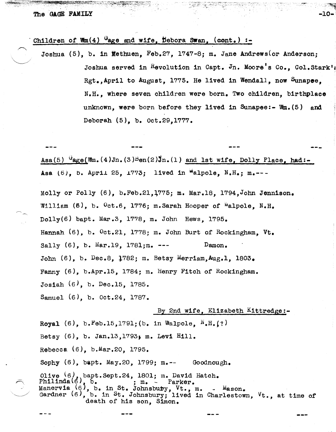## The GAGE FAMILY  $-10-$

## Children of Wm(4)  $G_{\text{age}}$  and wife, Debora Swan, (cont.) :-

Joshua  $(5)$ , b. in Methuen, Feb.27, 1747-8; m. Jane Andrews(or Anderson; Joshua served in Revolution in Capt. Jn. Moore's Co., Col.Stark' Rgt.,April to August, 1775. He lived in Wendall, now Sunapee, N.H., where seven children were born. Two children, birthplace unknown, were born before they lived in Sunapee:-  $W_m$ . (5) and Deborah (5), b. Oct.29,1777.

~ .-~ "",.,.: ..... ".. '~"i'"' ~c-  $\sim$   $\sim$   $\sim$   $\sim$ 

Asa(5)  $G_{\text{age}}(Wm.(4)Jn.(3)Ben(2)Jn.(1)$  and 1st wife, Dolly Place, had:-Asa  $(6)$ , b. April 25,  $1773$ ; lived in "alpole,  $N.F.$ ; m.---

Molly or Polly  $(6)$ , b. Feb. 21, 1775; m. Mar. 18, 1794, John Jennison. William  $(6)$ , b.  $0ct.6$ , 1776; m.Sarah Hooper of "alpole, N.H. Dolly(6) bapt. Mar.3, 1778, m. John Hews, 1795. Hannah (6), b. Oct.21, 1778; m. John Burt of Rockingham. Vt. Sally (6), b. Mar.19, 1781;m. --- Damon. John  $(6)$ , b. Dec.8,  $1782$ ; m. Betsy Merriam,Aug.1, 1803. Fanny (6), b.Apr.15, 1784; m. Henry Fitch of Rockingham. Josiah (6), b. Dec.15, 1785. Samuel (6), b. Oct.24, 1787.

## By 2nd Wife, Elizabeth Kittredge:-

---

Royal  $(6)$ , b. Feb.15,1791;(b. in Walpole,  $N$ . H. $(?)$ Betsy  $(6)$ , b. Jan.13,1793; m. Levi Hill. Rebecca (6), b.Mar.20, 1795. Sophy (6), bapt. May.20, 1799; m.-- Goodnough. Olive  $(6)$ , bapt.Sept.24, 1801; m. David Hatch.<br>Philinda $(6)$ , b.  $\cdot$   $\cdot$   $\cdot$  Parker.  $\text{Philinda}(\xi)$ , b. ; m. - Parker. Manervia  $(6)$ , b. in St. Johnsbuby, Vt., m. - Mason. Gardner  $(6)$ , b. in St. Johnsbury; lived in Charlestown,  $Vt$ ., at time of death of his son, Simon.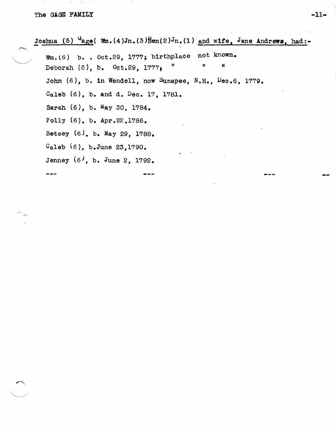---

Joshua (5)  $\mathcal{F}_{\text{age}}$ ( Wm.(4)Jn.(3) $\beta$ en(2)Jn.(1) and wife, Jane Andrews, had:-

Wm.(6) b. . Oct.29, 1777; birthplace not known. Deborah  $(6)$ , b.  $0ct.29$ ,  $1777$ , " John (6), b. in Wendell, now Sunapee, N.H., Dec.6, 1779. Caleb (6), b. and d. Dec. 17, 1781. Sarah (6), b. May 30, 1784. Polly (6), b. Apr.22.1786. Betsey (6). b. May 29, 1788.  $C_{\text{al}}$ eb  $(6)$ , b.June 23,1790. Jenney (6), b. June 2, 1792.

-11-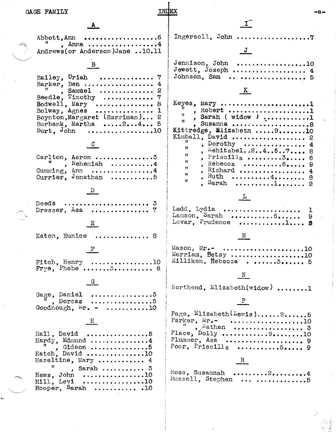$\mathbf{J}$ 

A Ingersoll,  $John$ ..... Abbott, Ann , Anna ...................4 Andrews (or Anderson)Jane ..10.11 Jennison, John .................10 B Jewett, Joseph ................... 4 Johnson, Sam .................... 5 Bailey, Uriah . . . . . . . . . . . . . . . Barker, Ben ................. 4 Samuel ..............  $\mathbf{H}$  $\pmb{s}$ Beedle, Timothy .............. 7 Bodwell, Mary  $\ldots$ ............... 8 Bolway, Agnes . . . . . . . . . . . . . . . 1 Boynton, Margaret (Harriman)... 2 11. Burbank, Martha .....2...4... 5  $Burt$ . John . . . . . . . . . . . . . . . . . 10  $^{\dagger}$  $\mathcal{C}$  $\pmb{\mathfrak{h}}$  $\mathbf{H}$ Carlton, Aaron ................3  $\mathbf{H}$  $Nehemiah$ .........4  $\bullet$  $\mathbf{H}$ Cumming, Ann ................4  $\mathbf{a}$ Currier, Jonathan ...........5 Ħ Sarah  $\mathbf{D}$ Deeds Dresser, Asa ............... Ladd, Lydia  $\mathbf{E}$ Eaton. Eunice .............. 8 Mason,  $Mr \mathbf{F}$ Fitch, Henry  $\ldots \ldots \ldots \ldots \ldots 10$  $\texttt{Frye.}$  Phebe .......3........... 6  $\mathbf{G}$ Gage, Daniel .................3 , Dorcas  $\ldots \ldots \ldots \ldots \ldots$ Goodnough,  $M_{\rm r}$ . - ..........10  $H$ Hall, David . . . . . . . . . . . . . . . . . 5 Hardy, Edmund ...............4  $\begin{array}{c} \n\text{H,} \\
\text{H,} \\
\text{H,} \\
\text{H,} \\
\text{H,} \\
\text{H,} \\
\text{H,} \\
\text{H,} \\
\text{H,} \\
\text{H,} \\
\text{H,} \\
\text{H,} \\
\text{H,} \\
\text{H,} \\
\text{H,} \\
\text{H,} \\
\text{H,} \\
\text{H,} \\
\text{H,} \\
\text{H,} \\
\text{H,} \\
\text{H,} \\
\text{H,} \\
\text{H,} \\
\text{H,} \\
\text{H,} \\
\text{H,} \\
\text{H,} \\
\text{H,} \\
\text{H,} \\
\$ 

Hazeltine, Mary ............ 4

Hooper, Sarah .............10

, Sarah ..........  $3$ . . . . . . . . . . . . . . . . . 10

. . . . . . . . . . . . . . . . . 10

 $\mathbf{H}$ 

Hews. John

Hill, Levi

 $K$ Keyes, Mary .......................1 , Robert .....................1 , Sarah ( widow ) ............1<br>, Susanna .......................8 Kittredge, Elizabeth ..... 9....... 10 Kimball, David .................... 2 , Dorothy  $\ldots \ldots \ldots \ldots$ 4 Mehitabel..2..4..5..7.... 8  $,$  Priscilla  $\dots\dots\dots\dots$ 6 Rebecca .......... $6...$ 9 Richard .................  $\boldsymbol{4}$ Ruth  $\dots\dots\dots4\dots\dots\dots$ 8 . . . . . . . . . . 1. . . . . . . . .  $L_{\perp}$ . . . . . . . . . . . . . . . . . . . . Lamson, Sarah ...................... 9 Levar, Prudence ............1....  $M$ Merriam, Betsy ...................10 Milliken, Rebecca .......3...... 5  $_{\rm N}$ Northend,  $\text{Elizabeth(widow)}$  .......1  $P$ Page.  $E11$ zabeth $(L_{ew1s}), \ldots, 2, \ldots, 5$ Parker,  $Mr_{\bullet}$  ......................10  $\frac{1}{2}$  Nathan ..................... 3 Place,  $Dolly$  ...............9.........10 Plummer, Asa ...................... 9 Poor, Priscilla ............ $5...9$  $\mathbb{R}$ 

| Ross, Susannah $2$ 4 |  |  |  |  |  |  |  |  |  |  |
|----------------------|--|--|--|--|--|--|--|--|--|--|
| Russell, Stephen  5  |  |  |  |  |  |  |  |  |  |  |

۰а۰